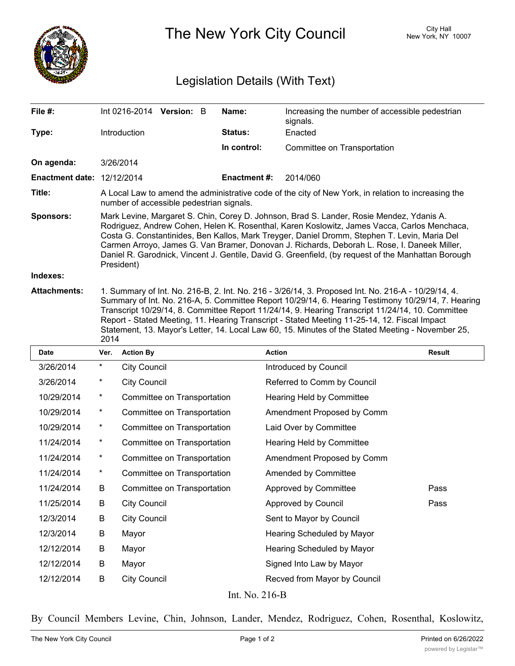

The New York City Council New York, NY 10007

## Legislation Details (With Text)

| File #:                           | Int 0216-2014 Version: B                                                                                                                                                                                                                                                                                                                                                                                                                                                                                   |  |  | Name:               | Increasing the number of accessible pedestrian<br>signals.                                                                                                                                                                                                                                                                                                                                                                                                                                                        |  |  |
|-----------------------------------|------------------------------------------------------------------------------------------------------------------------------------------------------------------------------------------------------------------------------------------------------------------------------------------------------------------------------------------------------------------------------------------------------------------------------------------------------------------------------------------------------------|--|--|---------------------|-------------------------------------------------------------------------------------------------------------------------------------------------------------------------------------------------------------------------------------------------------------------------------------------------------------------------------------------------------------------------------------------------------------------------------------------------------------------------------------------------------------------|--|--|
| Type:                             | <b>Introduction</b>                                                                                                                                                                                                                                                                                                                                                                                                                                                                                        |  |  | <b>Status:</b>      | Enacted                                                                                                                                                                                                                                                                                                                                                                                                                                                                                                           |  |  |
|                                   |                                                                                                                                                                                                                                                                                                                                                                                                                                                                                                            |  |  | In control:         | Committee on Transportation                                                                                                                                                                                                                                                                                                                                                                                                                                                                                       |  |  |
| On agenda:                        | 3/26/2014                                                                                                                                                                                                                                                                                                                                                                                                                                                                                                  |  |  |                     |                                                                                                                                                                                                                                                                                                                                                                                                                                                                                                                   |  |  |
| <b>Enactment date: 12/12/2014</b> |                                                                                                                                                                                                                                                                                                                                                                                                                                                                                                            |  |  | <b>Enactment #:</b> | 2014/060                                                                                                                                                                                                                                                                                                                                                                                                                                                                                                          |  |  |
| Title:                            | A Local Law to amend the administrative code of the city of New York, in relation to increasing the<br>number of accessible pedestrian signals.                                                                                                                                                                                                                                                                                                                                                            |  |  |                     |                                                                                                                                                                                                                                                                                                                                                                                                                                                                                                                   |  |  |
| <b>Sponsors:</b>                  | Mark Levine, Margaret S. Chin, Corey D. Johnson, Brad S. Lander, Rosie Mendez, Ydanis A.<br>Rodriguez, Andrew Cohen, Helen K. Rosenthal, Karen Koslowitz, James Vacca, Carlos Menchaca,<br>Costa G. Constantinides, Ben Kallos, Mark Treyger, Daniel Dromm, Stephen T. Levin, Maria Del<br>Carmen Arroyo, James G. Van Bramer, Donovan J. Richards, Deborah L. Rose, I. Daneek Miller,<br>Daniel R. Garodnick, Vincent J. Gentile, David G. Greenfield, (by request of the Manhattan Borough<br>President) |  |  |                     |                                                                                                                                                                                                                                                                                                                                                                                                                                                                                                                   |  |  |
| Indexes:                          |                                                                                                                                                                                                                                                                                                                                                                                                                                                                                                            |  |  |                     |                                                                                                                                                                                                                                                                                                                                                                                                                                                                                                                   |  |  |
| <b>Attachments:</b>               |                                                                                                                                                                                                                                                                                                                                                                                                                                                                                                            |  |  |                     | 1. Summary of Int. No. 216-B, 2. Int. No. 216 - 3/26/14, 3. Proposed Int. No. 216-A - 10/29/14, 4.<br>Summary of Int. No. 216-A, 5. Committee Report 10/29/14, 6. Hearing Testimony 10/29/14, 7. Hearing<br>Transcript 10/29/14, 8. Committee Report 11/24/14, 9. Hearing Transcript 11/24/14, 10. Committee<br>Report - Stated Meeting, 11. Hearing Transcript - Stated Meeting 11-25-14, 12. Fiscal Impact<br>Statement, 13. Mayor's Letter, 14. Local Law 60, 15. Minutes of the Stated Meeting - November 25, |  |  |

|                 | 2014     |                             |                              |               |  |  |  |  |
|-----------------|----------|-----------------------------|------------------------------|---------------|--|--|--|--|
| <b>Date</b>     | Ver.     | <b>Action By</b>            | <b>Action</b>                | <b>Result</b> |  |  |  |  |
| 3/26/2014       | $\ast$   | <b>City Council</b>         | Introduced by Council        |               |  |  |  |  |
| 3/26/2014       | $\ast$   | <b>City Council</b>         | Referred to Comm by Council  |               |  |  |  |  |
| 10/29/2014      | $\ast$   | Committee on Transportation | Hearing Held by Committee    |               |  |  |  |  |
| 10/29/2014      | $\ast$   | Committee on Transportation | Amendment Proposed by Comm   |               |  |  |  |  |
| 10/29/2014      | $\ast$   | Committee on Transportation | Laid Over by Committee       |               |  |  |  |  |
| 11/24/2014      | $^\star$ | Committee on Transportation | Hearing Held by Committee    |               |  |  |  |  |
| 11/24/2014      | $^\star$ | Committee on Transportation | Amendment Proposed by Comm   |               |  |  |  |  |
| 11/24/2014      | $\star$  | Committee on Transportation | Amended by Committee         |               |  |  |  |  |
| 11/24/2014      | B        | Committee on Transportation | Approved by Committee        | Pass          |  |  |  |  |
| 11/25/2014      | B        | <b>City Council</b>         | Approved by Council          | Pass          |  |  |  |  |
| 12/3/2014       | B        | <b>City Council</b>         | Sent to Mayor by Council     |               |  |  |  |  |
| 12/3/2014       | B        | Mayor                       | Hearing Scheduled by Mayor   |               |  |  |  |  |
| 12/12/2014      | B        | Mayor                       | Hearing Scheduled by Mayor   |               |  |  |  |  |
| 12/12/2014      | B        | Mayor                       | Signed Into Law by Mayor     |               |  |  |  |  |
| 12/12/2014      | B        | <b>City Council</b>         | Recved from Mayor by Council |               |  |  |  |  |
| Int $N_0$ 716 R |          |                             |                              |               |  |  |  |  |

Int. No. 216-B

By Council Members Levine, Chin, Johnson, Lander, Mendez, Rodriguez, Cohen, Rosenthal, Koslowitz,